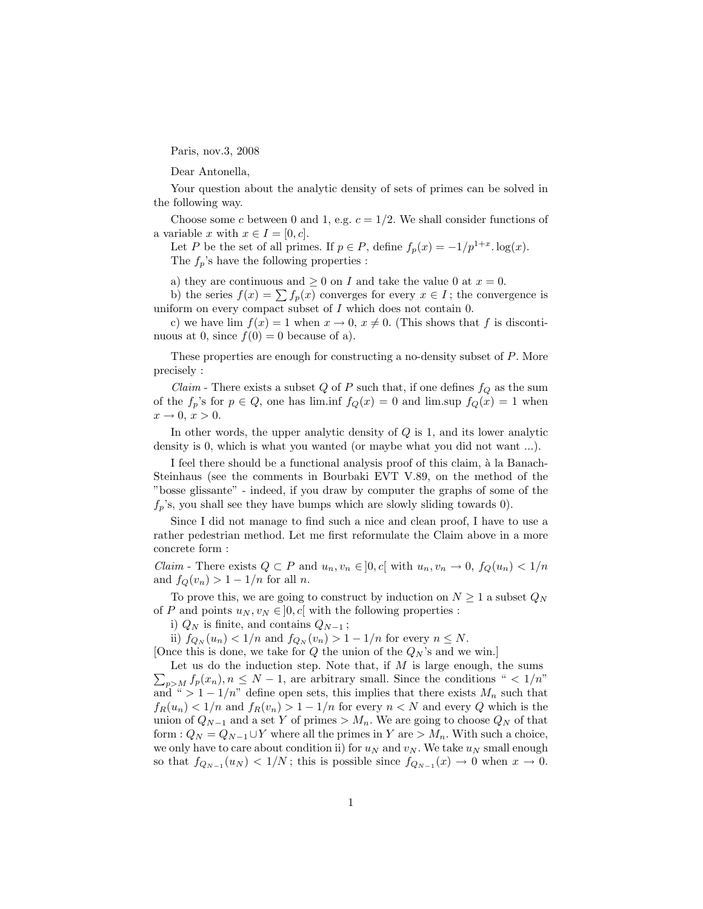Paris, nov.3, 2008

Dear Antonella,

Your question about the analytic density of sets of primes can be solved in the following way.

Choose some *c* between 0 and 1, e.g.  $c = 1/2$ . We shall consider functions of a variable *x* with  $x \in I = [0, c]$ .

Let *P* be the set of all primes. If  $p \in P$ , define  $f_p(x) = -1/p^{1+x}$ . log(*x*). The  $f_p$ 's have the following properties :

a) they are continuous and  $\geq 0$  on *I* and take the value 0 at  $x = 0$ .

b) the series  $f(x) = \sum f_p(x)$  converges for every  $x \in I$ ; the convergence is uniform on every compact subset of *I* which does not contain 0.

c) we have lim  $f(x) = 1$  when  $x \to 0$ ,  $x \neq 0$ . (This shows that f is discontinuous at 0, since  $f(0) = 0$  because of a).

These properties are enough for constructing a no-density subset of *P*. More precisely :

*Claim* - There exists a subset *Q* of *P* such that, if one defines  $f_Q$  as the sum of the  $f_p$ 's for  $p \in Q$ , one has lim.inf  $f_Q(x) = 0$  and lim.sup  $f_Q(x) = 1$  when  $x \rightarrow 0, x > 0.$ 

In other words, the upper analytic density of *Q* is 1, and its lower analytic density is 0, which is what you wanted (or maybe what you did not want ...).

I feel there should be a functional analysis proof of this claim, à la Banach-Steinhaus (see the comments in Bourbaki EVT V.89, on the method of the "bosse glissante" - indeed, if you draw by computer the graphs of some of the  $f_p$ 's, you shall see they have bumps which are slowly sliding towards 0).

Since I did not manage to find such a nice and clean proof, I have to use a rather pedestrian method. Let me first reformulate the Claim above in a more concrete form :

*Claim* - There exists  $Q \subset P$  and  $u_n, v_n \in ]0, c[$  with  $u_n, v_n \to 0, f_Q(u_n) < 1/n$ and  $f_Q(v_n) > 1 - 1/n$  for all *n*.

To prove this, we are going to construct by induction on  $N \geq 1$  a subset  $Q_N$ of *P* and points  $u_N, v_N \in ]0, c[$  with the following properties :

i)  $Q_N$  is finite, and contains  $Q_{N-1}$ ;

ii)  $f_{Q_N}(u_n) < 1/n$  and  $f_{Q_N}(v_n) > 1 - 1/n$  for every  $n \le N$ .

[Once this is done, we take for  $Q$  the union of the  $Q_N$ 's and we win.]

 $\sum_{p>M} f_p(x_n)$ ,  $n \leq N-1$ , are arbitrary small. Since the conditions " < 1/n" Let us do the induction step. Note that, if *M* is large enough, the sums and "  $>1-1/n$ " define open sets, this implies that there exists  $M_n$  such that  $f_R(u_n) < 1/n$  and  $f_R(v_n) > 1 - 1/n$  for every  $n < N$  and every *Q* which is the union of  $Q_{N-1}$  and a set Y of primes  $> M_n$ . We are going to choose  $Q_N$  of that form :  $Q_N = Q_{N-1} \cup Y$  where all the primes in  $Y$  are  $> M_n$ . With such a choice, we only have to care about condition ii) for  $u_N$  and  $v_N$ . We take  $u_N$  small enough so that  $f_{Q_{N-1}}(u_N) < 1/N$ ; this is possible since  $f_{Q_{N-1}}(x) \to 0$  when  $x \to 0$ .